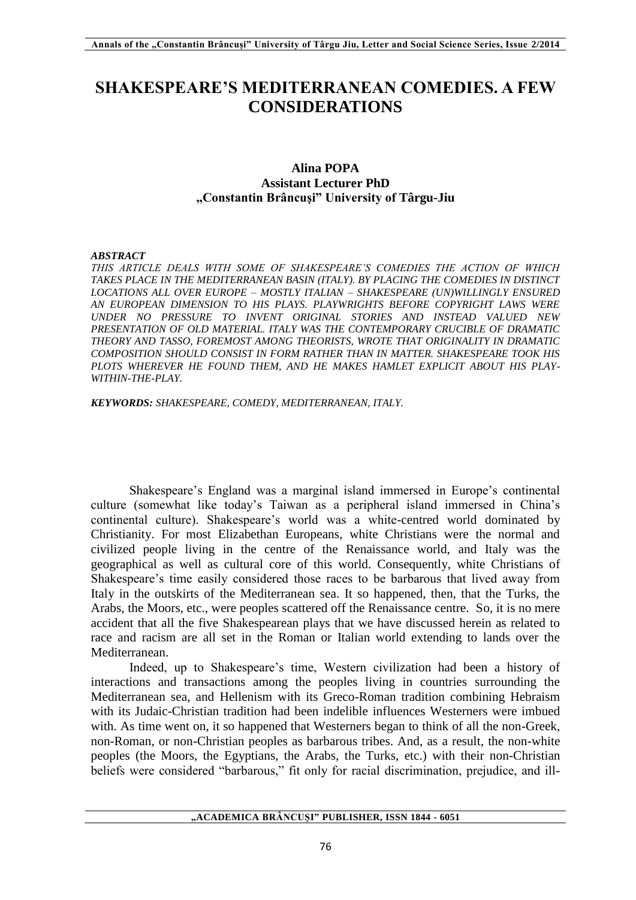# **SHAKESPEARE'S MEDITERRANEAN COMEDIES. A FEW CONSIDERATIONS**

## **Alina POPA Assistant Lecturer PhD "Constantin Brâncuşi" University of Târgu-Jiu**

#### *ABSTRACT*

*THIS ARTICLE DEALS WITH SOME OF SHAKESPEARE'S COMEDIES THE ACTION OF WHICH TAKES PLACE IN THE MEDITERRANEAN BASIN (ITALY). BY PLACING THE COMEDIES IN DISTINCT LOCATIONS ALL OVER EUROPE – MOSTLY ITALIAN – SHAKESPEARE (UN)WILLINGLY ENSURED AN EUROPEAN DIMENSION TO HIS PLAYS. PLAYWRIGHTS BEFORE COPYRIGHT LAWS WERE UNDER NO PRESSURE TO INVENT ORIGINAL STORIES AND INSTEAD VALUED NEW PRESENTATION OF OLD MATERIAL. ITALY WAS THE CONTEMPORARY CRUCIBLE OF DRAMATIC THEORY AND TASSO, FOREMOST AMONG THEORISTS, WROTE THAT ORIGINALITY IN DRAMATIC COMPOSITION SHOULD CONSIST IN FORM RATHER THAN IN MATTER. SHAKESPEARE TOOK HIS PLOTS WHEREVER HE FOUND THEM, AND HE MAKES HAMLET EXPLICIT ABOUT HIS PLAY-WITHIN-THE-PLAY.* 

*KEYWORDS: SHAKESPEARE, COMEDY, MEDITERRANEAN, ITALY.*

Shakespeare's England was a marginal island immersed in Europe's continental culture (somewhat like today's Taiwan as a peripheral island immersed in China's continental culture). Shakespeare's world was a white-centred world dominated by Christianity. For most Elizabethan Europeans, white Christians were the normal and civilized people living in the centre of the Renaissance world, and Italy was the geographical as well as cultural core of this world. Consequently, white Christians of Shakespeare's time easily considered those races to be barbarous that lived away from Italy in the outskirts of the Mediterranean sea. It so happened, then, that the Turks, the Arabs, the Moors, etc., were peoples scattered off the Renaissance centre. So, it is no mere accident that all the five Shakespearean plays that we have discussed herein as related to race and racism are all set in the Roman or Italian world extending to lands over the Mediterranean.

Indeed, up to Shakespeare's time, Western civilization had been a history of interactions and transactions among the peoples living in countries surrounding the Mediterranean sea, and Hellenism with its Greco-Roman tradition combining Hebraism with its Judaic-Christian tradition had been indelible influences Westerners were imbued with. As time went on, it so happened that Westerners began to think of all the non-Greek, non-Roman, or non-Christian peoples as barbarous tribes. And, as a result, the non-white peoples (the Moors, the Egyptians, the Arabs, the Turks, etc.) with their non-Christian beliefs were considered "barbarous," fit only for racial discrimination, prejudice, and ill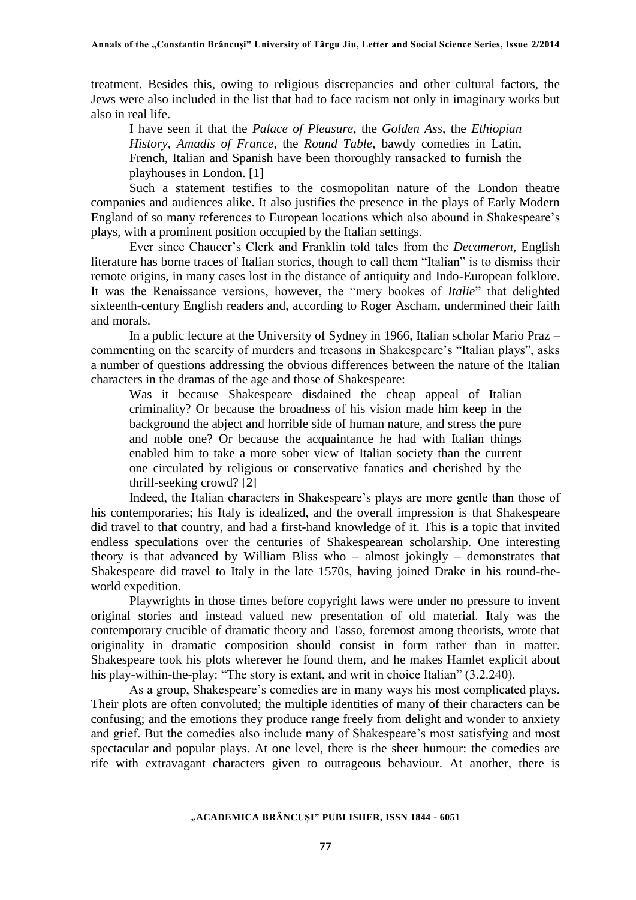treatment. Besides this, owing to religious discrepancies and other cultural factors, the Jews were also included in the list that had to face racism not only in imaginary works but also in real life.

I have seen it that the *Palace of Pleasure*, the *Golden Ass*, the *Ethiopian History*, *Amadis of France*, the *Round Table*, bawdy comedies in Latin, French, Italian and Spanish have been thoroughly ransacked to furnish the playhouses in London. [1]

Such a statement testifies to the cosmopolitan nature of the London theatre companies and audiences alike. It also justifies the presence in the plays of Early Modern England of so many references to European locations which also abound in Shakespeare's plays, with a prominent position occupied by the Italian settings.

Ever since Chaucer's Clerk and Franklin told tales from the *Decameron*, English literature has borne traces of Italian stories, though to call them "Italian" is to dismiss their remote origins, in many cases lost in the distance of antiquity and Indo-European folklore. It was the Renaissance versions, however, the "mery bookes of *Italie*" that delighted sixteenth-century English readers and, according to Roger Ascham, undermined their faith and morals.

In a public lecture at the University of Sydney in 1966, Italian scholar Mario Praz – commenting on the scarcity of murders and treasons in Shakespeare's "Italian plays", asks a number of questions addressing the obvious differences between the nature of the Italian characters in the dramas of the age and those of Shakespeare:

Was it because Shakespeare disdained the cheap appeal of Italian criminality? Or because the broadness of his vision made him keep in the background the abject and horrible side of human nature, and stress the pure and noble one? Or because the acquaintance he had with Italian things enabled him to take a more sober view of Italian society than the current one circulated by religious or conservative fanatics and cherished by the thrill-seeking crowd? [2]

Indeed, the Italian characters in Shakespeare's plays are more gentle than those of his contemporaries; his Italy is idealized, and the overall impression is that Shakespeare did travel to that country, and had a first-hand knowledge of it. This is a topic that invited endless speculations over the centuries of Shakespearean scholarship. One interesting theory is that advanced by William Bliss who – almost jokingly – demonstrates that Shakespeare did travel to Italy in the late 1570s, having joined Drake in his round-theworld expedition.

Playwrights in those times before copyright laws were under no pressure to invent original stories and instead valued new presentation of old material. Italy was the contemporary crucible of dramatic theory and Tasso, foremost among theorists, wrote that originality in dramatic composition should consist in form rather than in matter. Shakespeare took his plots wherever he found them, and he makes Hamlet explicit about his play-within-the-play: "The story is extant, and writ in choice Italian" (3.2.240).

As a group, Shakespeare's comedies are in many ways his most complicated plays. Their plots are often convoluted; the multiple identities of many of their characters can be confusing; and the emotions they produce range freely from delight and wonder to anxiety and grief. But the comedies also include many of Shakespeare's most satisfying and most spectacular and popular plays. At one level, there is the sheer humour: the comedies are rife with extravagant characters given to outrageous behaviour. At another, there is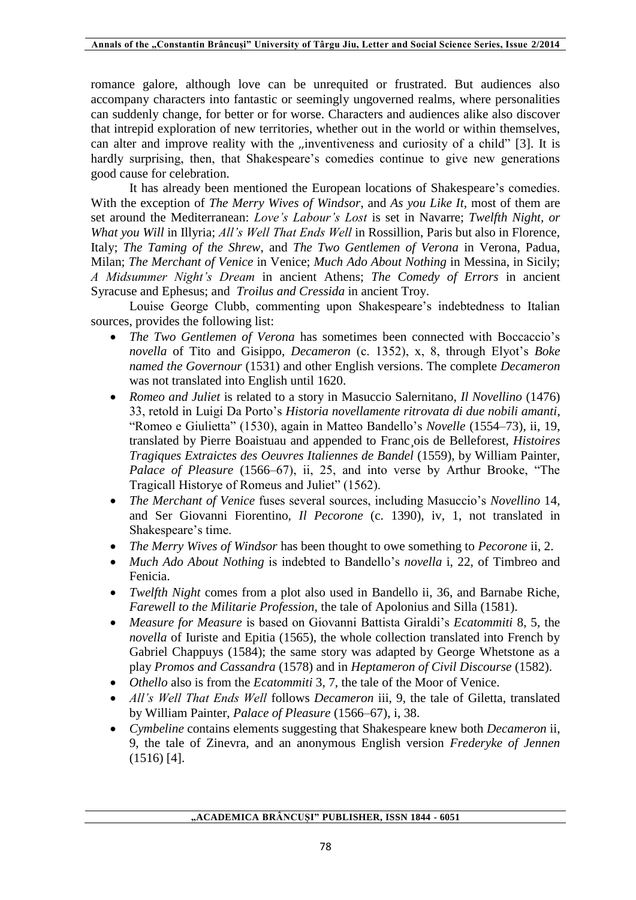romance galore, although love can be unrequited or frustrated. But audiences also accompany characters into fantastic or seemingly ungoverned realms, where personalities can suddenly change, for better or for worse. Characters and audiences alike also discover that intrepid exploration of new territories, whether out in the world or within themselves, can alter and improve reality with the ,,inventiveness and curiosity of a child" [3]. It is hardly surprising, then, that Shakespeare's comedies continue to give new generations good cause for celebration.

It has already been mentioned the European locations of Shakespeare's comedies. With the exception of *The Merry Wives of Windsor*, and *As you Like It*, most of them are set around the Mediterranean: *Love's Labour's Lost* is set in Navarre; *Twelfth Night, or What you Will* in Illyria; *All's Well That Ends Well* in Rossillion, Paris but also in Florence, Italy; *The Taming of the Shrew*, and *The Two Gentlemen of Verona* in Verona, Padua, Milan; *The Merchant of Venice* in Venice; *Much Ado About Nothing* in Messina, in Sicily; *A Midsummer Night's Dream* in ancient Athens; *The Comedy of Errors* in ancient Syracuse and Ephesus; and *Troilus and Cressida* in ancient Troy.

Louise George Clubb, commenting upon Shakespeare's indebtedness to Italian sources, provides the following list:

- *The Two Gentlemen of Verona* has sometimes been connected with Boccaccio's *novella* of Tito and Gisippo, *Decameron* (c. 1352), x, 8, through Elyot's *Boke named the Governour* (1531) and other English versions. The complete *Decameron*  was not translated into English until 1620.
- *Romeo and Juliet* is related to a story in Masuccio Salernitano, *Il Novellino* (1476) 33, retold in Luigi Da Porto's *Historia novellamente ritrovata di due nobili amanti*, "Romeo e Giulietta" (1530), again in Matteo Bandello's *Novelle* (1554–73), ii, 19, translated by Pierre Boaistuau and appended to Franc¸ois de Belleforest, *Histoires Tragiques Extraictes des Oeuvres Italiennes de Bandel* (1559), by William Painter, *Palace of Pleasure* (1566–67), ii, 25, and into verse by Arthur Brooke, "The Tragicall Historye of Romeus and Juliet" (1562).
- *The Merchant of Venice* fuses several sources, including Masuccio's *Novellino* 14, and Ser Giovanni Fiorentino, *Il Pecorone* (c. 1390), iv, 1, not translated in Shakespeare's time.
- *The Merry Wives of Windsor* has been thought to owe something to *Pecorone* ii, 2.
- *Much Ado About Nothing* is indebted to Bandello's *novella* i, 22, of Timbreo and Fenicia.
- *Twelfth Night* comes from a plot also used in Bandello ii, 36, and Barnabe Riche, *Farewell to the Militarie Profession*, the tale of Apolonius and Silla (1581).
- *Measure for Measure* is based on Giovanni Battista Giraldi's *Ecatommiti* 8, 5, the *novella* of Iuriste and Epitia (1565), the whole collection translated into French by Gabriel Chappuys (1584); the same story was adapted by George Whetstone as a play *Promos and Cassandra* (1578) and in *Heptameron of Civil Discourse* (1582).
- *Othello* also is from the *Ecatommiti* 3, 7, the tale of the Moor of Venice.
- *All's Well That Ends Well* follows *Decameron* iii, 9, the tale of Giletta, translated by William Painter, *Palace of Pleasure* (1566–67), i, 38.
- *Cymbeline* contains elements suggesting that Shakespeare knew both *Decameron* ii, 9, the tale of Zinevra, and an anonymous English version *Frederyke of Jennen*  (1516) [4].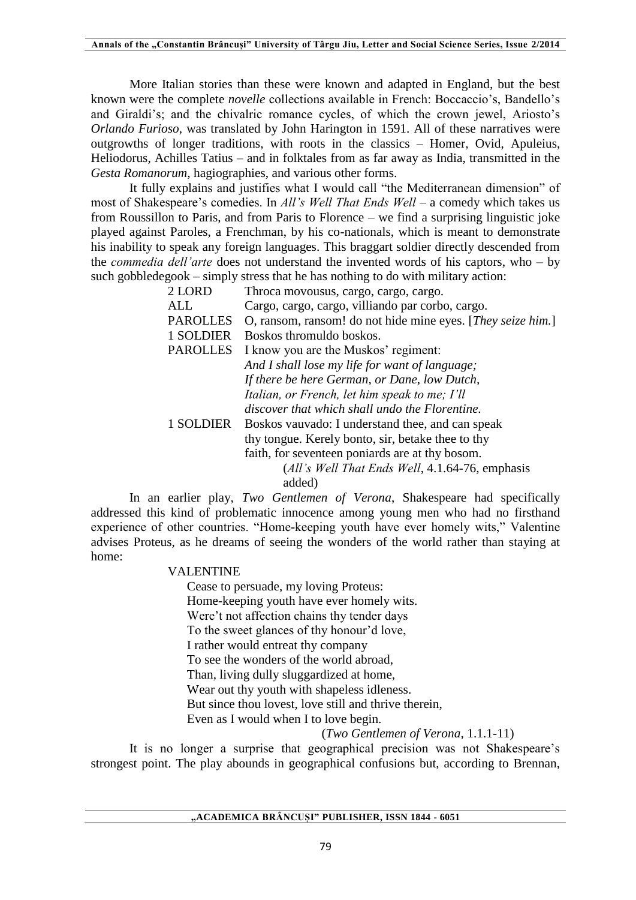More Italian stories than these were known and adapted in England, but the best known were the complete *novelle* collections available in French: Boccaccio's, Bandello's and Giraldi's; and the chivalric romance cycles, of which the crown jewel, Ariosto's *Orlando Furioso*, was translated by John Harington in 1591. All of these narratives were outgrowths of longer traditions, with roots in the classics – Homer, Ovid, Apuleius, Heliodorus, Achilles Tatius – and in folktales from as far away as India, transmitted in the *Gesta Romanorum*, hagiographies, and various other forms.

It fully explains and justifies what I would call "the Mediterranean dimension" of most of Shakespeare's comedies. In *All's Well That Ends Well* – a comedy which takes us from Roussillon to Paris, and from Paris to Florence – we find a surprising linguistic joke played against Paroles, a Frenchman, by his co-nationals, which is meant to demonstrate his inability to speak any foreign languages. This braggart soldier directly descended from the *commedia dell'arte* does not understand the invented words of his captors, who – by such gobbledegook – simply stress that he has nothing to do with military action:

| 2 LORD          | Throca movousus, cargo, cargo, cargo.                       |
|-----------------|-------------------------------------------------------------|
| ALL             | Cargo, cargo, cargo, villiando par corbo, cargo.            |
| <b>PAROLLES</b> | O, ransom, ransom! do not hide mine eyes. [They seize him.] |
| 1 SOLDIER       | Boskos thromuldo boskos.                                    |
| <b>PAROLLES</b> | I know you are the Muskos' regiment:                        |
|                 | And I shall lose my life for want of language;              |
|                 | If there be here German, or Dane, low Dutch,                |
|                 | Italian, or French, let him speak to me; I'll               |
|                 | discover that which shall undo the Florentine.              |
| 1 SOLDIER       | Boskos vauvado: I understand thee, and can speak            |
|                 | thy tongue. Kerely bonto, sir, betake thee to thy           |
|                 | faith, for seventeen poniards are at thy bosom.             |
|                 | (All's Well That Ends Well, 4.1.64-76, emphasis             |
|                 | added)                                                      |

In an earlier play, *Two Gentlemen of Verona*, Shakespeare had specifically addressed this kind of problematic innocence among young men who had no firsthand experience of other countries. "Home-keeping youth have ever homely wits," Valentine advises Proteus, as he dreams of seeing the wonders of the world rather than staying at home:

### VALENTINE

Cease to persuade, my loving Proteus: Home-keeping youth have ever homely wits. Were't not affection chains thy tender days To the sweet glances of thy honour'd love, I rather would entreat thy company To see the wonders of the world abroad, Than, living dully sluggardized at home, Wear out thy youth with shapeless idleness. But since thou lovest, love still and thrive therein, Even as I would when I to love begin.

(*Two Gentlemen of Verona*, 1.1.1-11)

It is no longer a surprise that geographical precision was not Shakespeare's strongest point. The play abounds in geographical confusions but, according to Brennan,

**"ACADEMICA BRÂNCUȘI" PUBLISHER, ISSN 1844 - 6051**